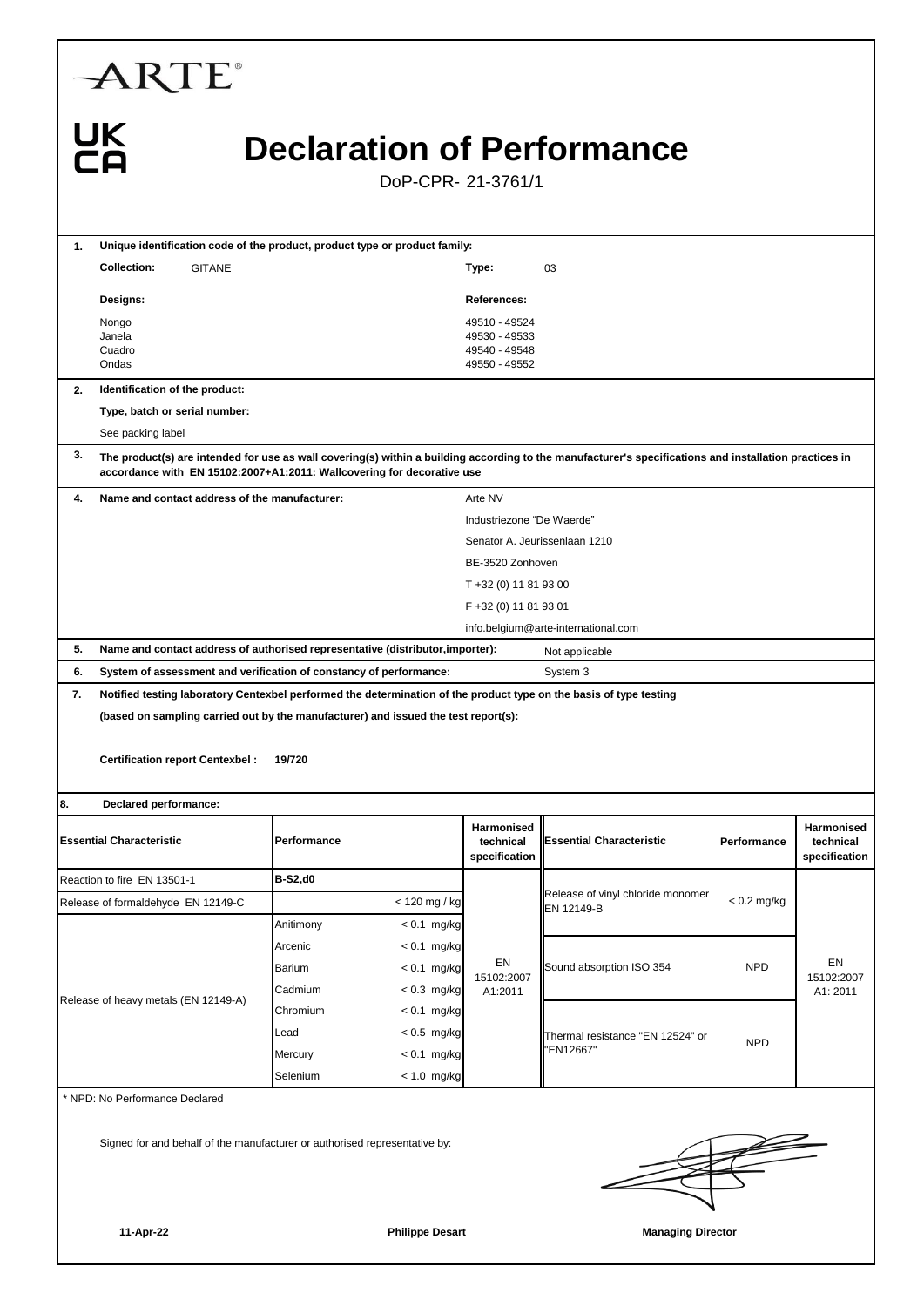| <b>ARTE</b>                                                                                                                                                                                                                            |                           |                                |                                                                  |                                                 |               |                            |  |  |  |  |  |
|----------------------------------------------------------------------------------------------------------------------------------------------------------------------------------------------------------------------------------------|---------------------------|--------------------------------|------------------------------------------------------------------|-------------------------------------------------|---------------|----------------------------|--|--|--|--|--|
| <b>UK</b><br><b>Declaration of Performance</b><br>DoP-CPR-21-3761/1                                                                                                                                                                    |                           |                                |                                                                  |                                                 |               |                            |  |  |  |  |  |
|                                                                                                                                                                                                                                        |                           |                                |                                                                  |                                                 |               |                            |  |  |  |  |  |
| Unique identification code of the product, product type or product family:<br>1.                                                                                                                                                       |                           |                                |                                                                  |                                                 |               |                            |  |  |  |  |  |
| <b>GITANE</b><br><b>Collection:</b>                                                                                                                                                                                                    |                           |                                | Type:                                                            | 03                                              |               |                            |  |  |  |  |  |
| Designs:                                                                                                                                                                                                                               |                           |                                | <b>References:</b>                                               |                                                 |               |                            |  |  |  |  |  |
| Nongo<br>Janela<br>Cuadro<br>Ondas                                                                                                                                                                                                     |                           |                                | 49510 - 49524<br>49530 - 49533<br>49540 - 49548<br>49550 - 49552 |                                                 |               |                            |  |  |  |  |  |
| Identification of the product:<br>2.                                                                                                                                                                                                   |                           |                                |                                                                  |                                                 |               |                            |  |  |  |  |  |
| Type, batch or serial number:                                                                                                                                                                                                          |                           |                                |                                                                  |                                                 |               |                            |  |  |  |  |  |
| See packing label                                                                                                                                                                                                                      |                           |                                |                                                                  |                                                 |               |                            |  |  |  |  |  |
| 3.<br>The product(s) are intended for use as wall covering(s) within a building according to the manufacturer's specifications and installation practices in<br>accordance with EN 15102:2007+A1:2011: Wallcovering for decorative use |                           |                                |                                                                  |                                                 |               |                            |  |  |  |  |  |
| Name and contact address of the manufacturer:<br>4.                                                                                                                                                                                    |                           |                                | Arte NV                                                          |                                                 |               |                            |  |  |  |  |  |
|                                                                                                                                                                                                                                        | Industriezone "De Waerde" |                                |                                                                  |                                                 |               |                            |  |  |  |  |  |
| Senator A. Jeurissenlaan 1210                                                                                                                                                                                                          |                           |                                |                                                                  |                                                 |               |                            |  |  |  |  |  |
|                                                                                                                                                                                                                                        |                           |                                | BE-3520 Zonhoven                                                 |                                                 |               |                            |  |  |  |  |  |
|                                                                                                                                                                                                                                        |                           |                                | T +32 (0) 11 81 93 00                                            |                                                 |               |                            |  |  |  |  |  |
|                                                                                                                                                                                                                                        |                           |                                | F +32 (0) 11 81 93 01                                            | info.belgium@arte-international.com             |               |                            |  |  |  |  |  |
| 5.<br>Name and contact address of authorised representative (distributor, importer):                                                                                                                                                   |                           |                                |                                                                  | Not applicable                                  |               |                            |  |  |  |  |  |
| 6.<br>System of assessment and verification of constancy of performance:                                                                                                                                                               |                           | System 3                       |                                                                  |                                                 |               |                            |  |  |  |  |  |
| 7.<br>Notified testing laboratory Centexbel performed the determination of the product type on the basis of type testing                                                                                                               |                           |                                |                                                                  |                                                 |               |                            |  |  |  |  |  |
| (based on sampling carried out by the manufacturer) and issued the test report(s):                                                                                                                                                     |                           |                                |                                                                  |                                                 |               |                            |  |  |  |  |  |
| <b>Certification report Centexbel:</b><br>19/720                                                                                                                                                                                       |                           |                                |                                                                  |                                                 |               |                            |  |  |  |  |  |
| 8.<br>Declared performance:                                                                                                                                                                                                            |                           |                                |                                                                  |                                                 |               |                            |  |  |  |  |  |
|                                                                                                                                                                                                                                        |                           |                                | <b>Harmonised</b>                                                |                                                 |               | Harmonised                 |  |  |  |  |  |
| <b>Essential Characteristic</b>                                                                                                                                                                                                        | Performance               |                                | technical<br>specification                                       | <b>Essential Characteristic</b>                 | Performance   | technical<br>specification |  |  |  |  |  |
| Reaction to fire EN 13501-1                                                                                                                                                                                                            | <b>B-S2,d0</b>            |                                |                                                                  | Release of vinyl chloride monomer<br>EN 12149-B | $< 0.2$ mg/kg |                            |  |  |  |  |  |
| Release of formaldehyde EN 12149-C                                                                                                                                                                                                     |                           | < 120 mg / kg                  | EN<br>15102:2007<br>A1:2011                                      |                                                 |               |                            |  |  |  |  |  |
|                                                                                                                                                                                                                                        | Anitimony                 | $< 0.1$ mg/kg                  |                                                                  |                                                 |               |                            |  |  |  |  |  |
|                                                                                                                                                                                                                                        | Arcenic                   | $< 0.1$ mg/kg                  |                                                                  | Sound absorption ISO 354                        | <b>NPD</b>    | EN                         |  |  |  |  |  |
|                                                                                                                                                                                                                                        | Barium                    | $< 0.1$ mg/kg                  |                                                                  |                                                 |               | 15102:2007                 |  |  |  |  |  |
| Release of heavy metals (EN 12149-A)                                                                                                                                                                                                   | Cadmium                   | $< 0.3$ mg/kg                  |                                                                  |                                                 |               | A1: 2011                   |  |  |  |  |  |
|                                                                                                                                                                                                                                        | Chromium<br>Lead          | $< 0.1$ mg/kg<br>$< 0.5$ mg/kg |                                                                  | Thermal resistance "EN 12524" or<br>'EN12667"   | <b>NPD</b>    |                            |  |  |  |  |  |
|                                                                                                                                                                                                                                        | Mercury                   | $< 0.1$ mg/kg                  |                                                                  |                                                 |               |                            |  |  |  |  |  |
|                                                                                                                                                                                                                                        | Selenium                  | $< 1.0$ mg/kg                  |                                                                  |                                                 |               |                            |  |  |  |  |  |
| * NPD: No Performance Declared                                                                                                                                                                                                         |                           |                                |                                                                  |                                                 |               |                            |  |  |  |  |  |
| Signed for and behalf of the manufacturer or authorised representative by:                                                                                                                                                             |                           |                                |                                                                  |                                                 |               |                            |  |  |  |  |  |
| 11-Apr-22                                                                                                                                                                                                                              |                           | <b>Philippe Desart</b>         |                                                                  | <b>Managing Director</b>                        |               |                            |  |  |  |  |  |